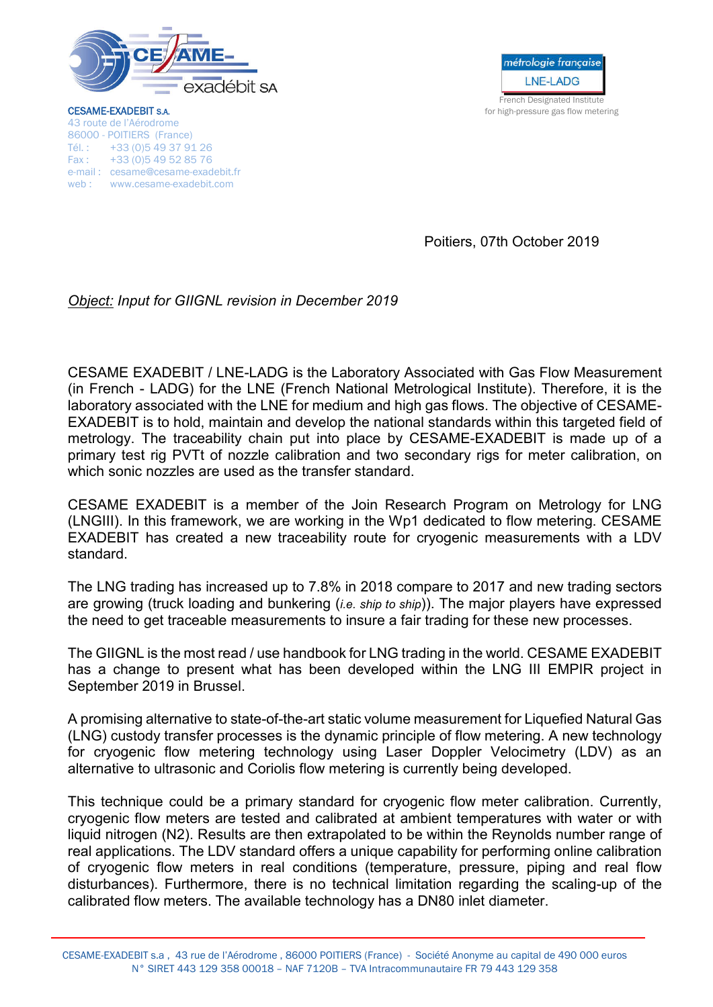

métrologie française **LNE-LADG** French Designated Institute

**CESAME-EXADEBIT S.A. CESAME-EXADEBIT S.A. for high-pressure gas flow metering** 43 route de l'Aérodrome 86000 - POITIERS (France) Tél. : +33 (0)5 49 37 91 26 Fax : +33 (0)5 49 52 85 76 e-mail : cesame@cesame-exadebit.fr web : www.cesame-exadebit.com

Poitiers, 07th October 2019

## *Object: Input for GIIGNL revision in December 2019*

CESAME EXADEBIT / LNE-LADG is the Laboratory Associated with Gas Flow Measurement (in French - LADG) for the LNE (French National Metrological Institute). Therefore, it is the laboratory associated with the LNE for medium and high gas flows. The objective of CESAME-EXADEBIT is to hold, maintain and develop the national standards within this targeted field of metrology. The traceability chain put into place by CESAME-EXADEBIT is made up of a primary test rig PVTt of nozzle calibration and two secondary rigs for meter calibration, on which sonic nozzles are used as the transfer standard.

CESAME EXADEBIT is a member of the Join Research Program on Metrology for LNG (LNGIII). In this framework, we are working in the Wp1 dedicated to flow metering. CESAME EXADEBIT has created a new traceability route for cryogenic measurements with a LDV standard.

The LNG trading has increased up to 7.8% in 2018 compare to 2017 and new trading sectors are growing (truck loading and bunkering (*i.e. ship to ship*)). The major players have expressed the need to get traceable measurements to insure a fair trading for these new processes.

The GIIGNL is the most read / use handbook for LNG trading in the world. CESAME EXADEBIT has a change to present what has been developed within the LNG III EMPIR project in September 2019 in Brussel.

A promising alternative to state-of-the-art static volume measurement for Liquefied Natural Gas (LNG) custody transfer processes is the dynamic principle of flow metering. A new technology for cryogenic flow metering technology using Laser Doppler Velocimetry (LDV) as an alternative to ultrasonic and Coriolis flow metering is currently being developed.

This technique could be a primary standard for cryogenic flow meter calibration. Currently, cryogenic flow meters are tested and calibrated at ambient temperatures with water or with liquid nitrogen (N2). Results are then extrapolated to be within the Reynolds number range of real applications. The LDV standard offers a unique capability for performing online calibration of cryogenic flow meters in real conditions (temperature, pressure, piping and real flow disturbances). Furthermore, there is no technical limitation regarding the scaling-up of the calibrated flow meters. The available technology has a DN80 inlet diameter.